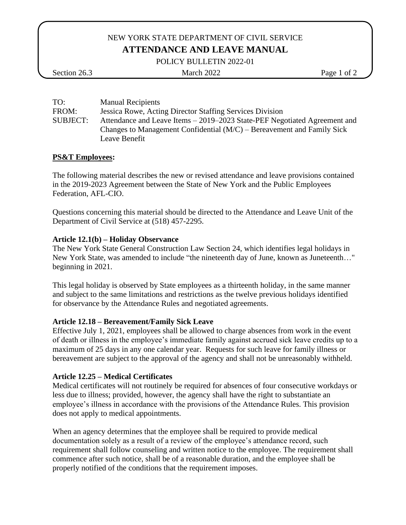# NEW YORK STATE DEPARTMENT OF CIVIL SERVICE **ATTENDANCE AND LEAVE MANUAL**

POLICY BULLETIN 2022-01

## Section 26.3 March 2022 Page 1 of 2

| TO:             | <b>Manual Recipients</b>                                                  |
|-----------------|---------------------------------------------------------------------------|
| FROM:           | Jessica Rowe, Acting Director Staffing Services Division                  |
| <b>SUBJECT:</b> | Attendance and Leave Items – 2019–2023 State-PEF Negotiated Agreement and |
|                 | Changes to Management Confidential $(M/C)$ – Bereavement and Family Sick  |
|                 | Leave Benefit                                                             |

### **PS&T Employees:**

The following material describes the new or revised attendance and leave provisions contained in the 2019-2023 Agreement between the State of New York and the Public Employees Federation, AFL-CIO.

Questions concerning this material should be directed to the Attendance and Leave Unit of the Department of Civil Service at (518) 457-2295.

### **Article 12.1(b) – Holiday Observance**

The New York State General Construction Law Section 24, which identifies legal holidays in New York State, was amended to include "the nineteenth day of June, known as Juneteenth…" beginning in 2021.

This legal holiday is observed by State employees as a thirteenth holiday, in the same manner and subject to the same limitations and restrictions as the twelve previous holidays identified for observance by the Attendance Rules and negotiated agreements.

## **Article 12.18 – Bereavement/Family Sick Leave**

Effective July 1, 2021, employees shall be allowed to charge absences from work in the event of death or illness in the employee's immediate family against accrued sick leave credits up to a maximum of 25 days in any one calendar year. Requests for such leave for family illness or bereavement are subject to the approval of the agency and shall not be unreasonably withheld.

## **Article 12.25 – Medical Certificates**

Medical certificates will not routinely be required for absences of four consecutive workdays or less due to illness; provided, however, the agency shall have the right to substantiate an employee's illness in accordance with the provisions of the Attendance Rules. This provision does not apply to medical appointments.

When an agency determines that the employee shall be required to provide medical documentation solely as a result of a review of the employee's attendance record, such requirement shall follow counseling and written notice to the employee. The requirement shall commence after such notice, shall be of a reasonable duration, and the employee shall be properly notified of the conditions that the requirement imposes.